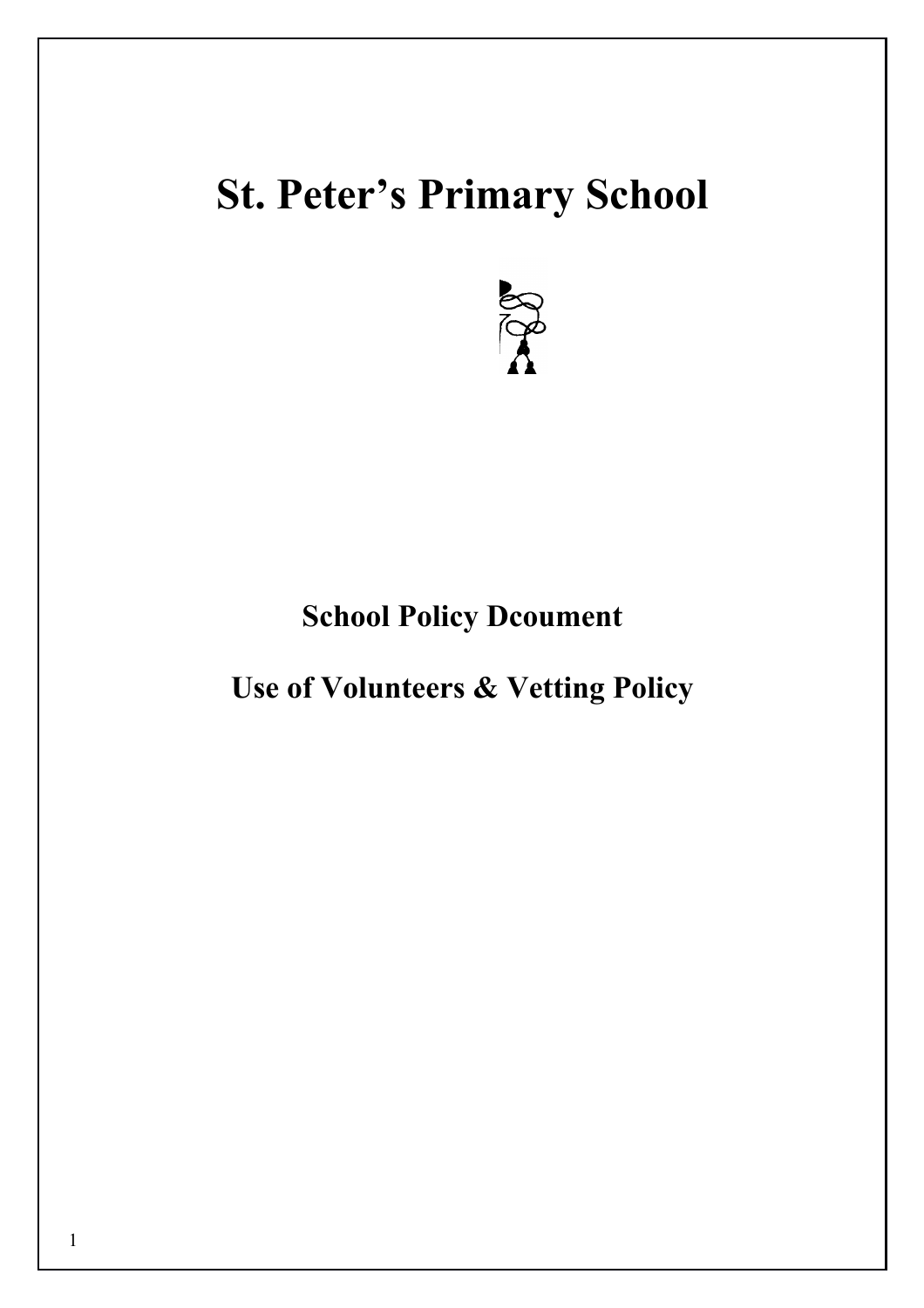# **St. Peter's Primary School**



# **School Policy Dcoument**

**Use of Volunteers & Vetting Policy**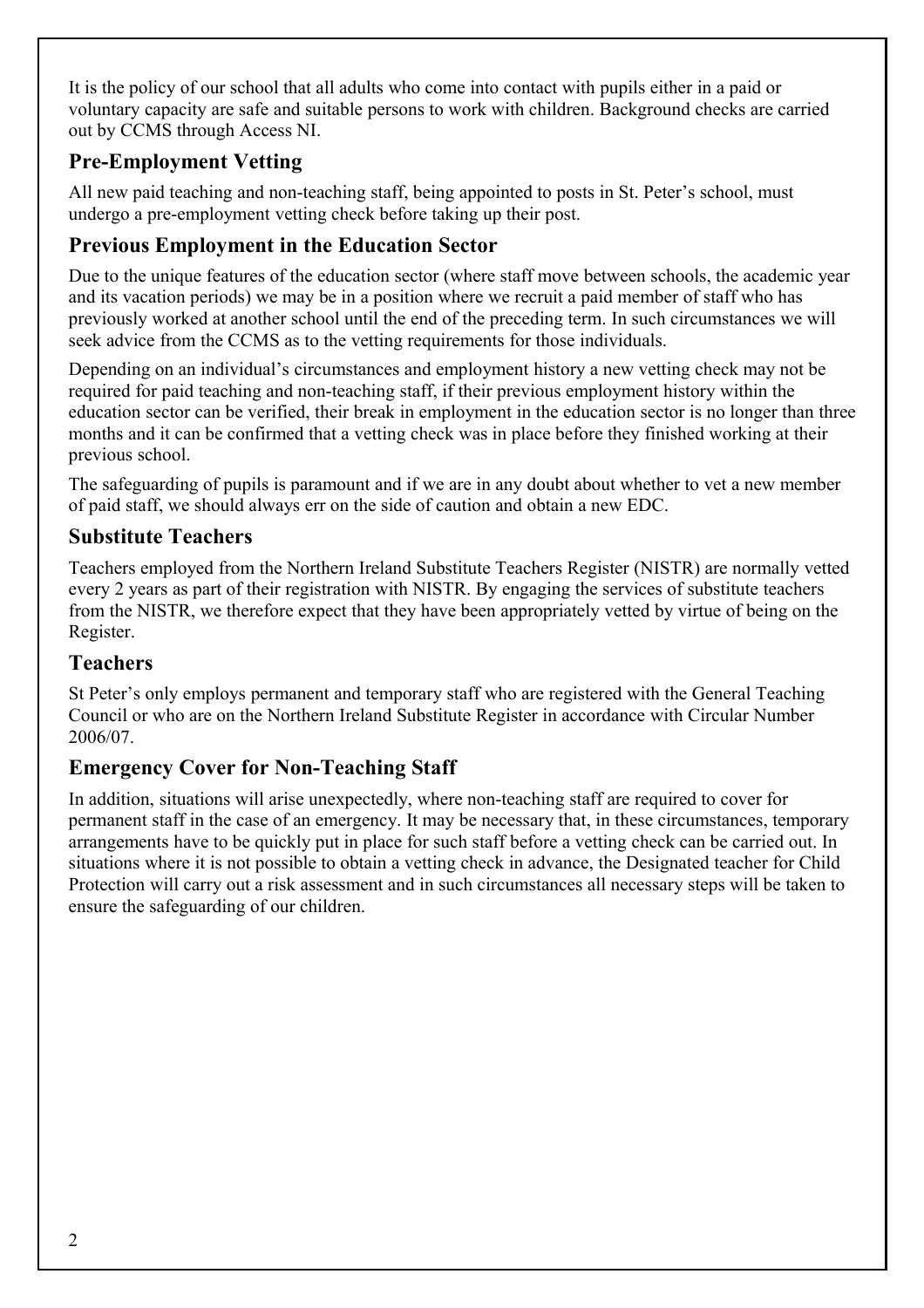It is the policy of our school that all adults who come into contact with pupils either in a paid or voluntary capacity are safe and suitable persons to work with children. Background checks are carried out by CCMS through Access NI.

# **Pre-Employment Vetting**

All new paid teaching and non-teaching staff, being appointed to posts in St. Peter's school, must undergo a pre-employment vetting check before taking up their post.

# **Previous Employment in the Education Sector**

Due to the unique features of the education sector (where staff move between schools, the academic year and its vacation periods) we may be in a position where we recruit a paid member of staff who has previously worked at another school until the end of the preceding term. In such circumstances we will seek advice from the CCMS as to the vetting requirements for those individuals.

Depending on an individual's circumstances and employment history a new vetting check may not be required for paid teaching and non-teaching staff, if their previous employment history within the education sector can be verified, their break in employment in the education sector is no longer than three months and it can be confirmed that a vetting check was in place before they finished working at their previous school.

The safeguarding of pupils is paramount and if we are in any doubt about whether to vet a new member of paid staff, we should always err on the side of caution and obtain a new EDC.

# **Substitute Teachers**

Teachers employed from the Northern Ireland Substitute Teachers Register (NISTR) are normally vetted every 2 years as part of their registration with NISTR. By engaging the services of substitute teachers from the NISTR, we therefore expect that they have been appropriately vetted by virtue of being on the Register.

# **Teachers**

St Peter's only employs permanent and temporary staff who are registered with the General Teaching Council or who are on the Northern Ireland Substitute Register in accordance with Circular Number 2006/07.

# **Emergency Cover for Non-Teaching Staff**

In addition, situations will arise unexpectedly, where non-teaching staff are required to cover for permanent staff in the case of an emergency. It may be necessary that, in these circumstances, temporary arrangements have to be quickly put in place for such staff before a vetting check can be carried out. In situations where it is not possible to obtain a vetting check in advance, the Designated teacher for Child Protection will carry out a risk assessment and in such circumstances all necessary steps will be taken to ensure the safeguarding of our children.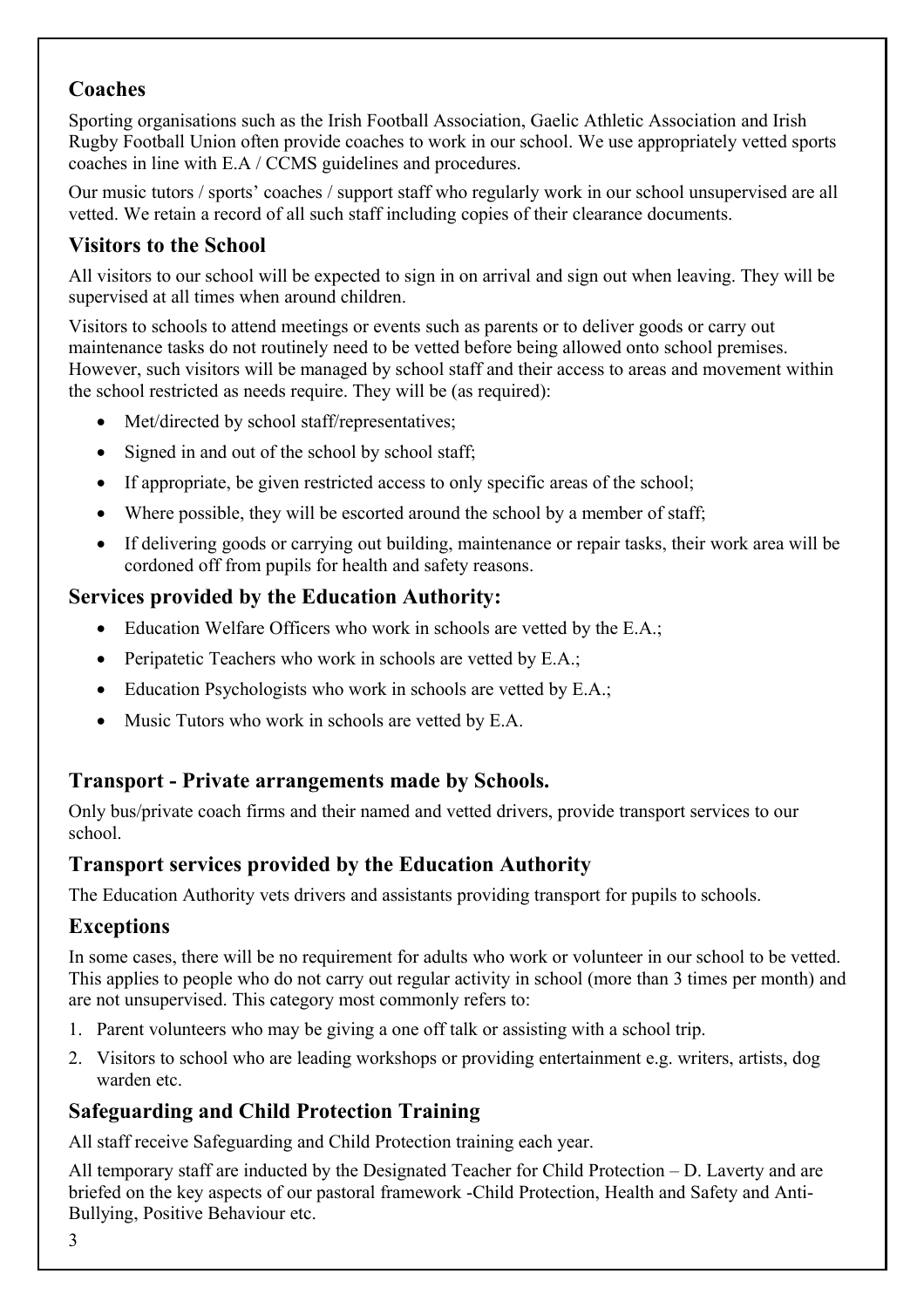# **Coaches**

Sporting organisations such as the Irish Football Association, Gaelic Athletic Association and Irish Rugby Football Union often provide coaches to work in our school. We use appropriately vetted sports coaches in line with E.A / CCMS guidelines and procedures.

Our music tutors / sports' coaches / support staff who regularly work in our school unsupervised are all vetted. We retain a record of all such staff including copies of their clearance documents.

# **Visitors to the School**

All visitors to our school will be expected to sign in on arrival and sign out when leaving. They will be supervised at all times when around children.

Visitors to schools to attend meetings or events such as parents or to deliver goods or carry out maintenance tasks do not routinely need to be vetted before being allowed onto school premises. However, such visitors will be managed by school staff and their access to areas and movement within the school restricted as needs require. They will be (as required):

- Met/directed by school staff/representatives;
- Signed in and out of the school by school staff;
- If appropriate, be given restricted access to only specific areas of the school;
- Where possible, they will be escorted around the school by a member of staff;
- If delivering goods or carrying out building, maintenance or repair tasks, their work area will be cordoned off from pupils for health and safety reasons.

# **Services provided by the Education Authority:**

- Education Welfare Officers who work in schools are vetted by the E.A.;
- Peripatetic Teachers who work in schools are vetted by E.A.;
- Education Psychologists who work in schools are vetted by E.A.;
- Music Tutors who work in schools are vetted by E.A.

# **Transport - Private arrangements made by Schools.**

Only bus/private coach firms and their named and vetted drivers, provide transport services to our school.

# **Transport services provided by the Education Authority**

The Education Authority vets drivers and assistants providing transport for pupils to schools.

#### **Exceptions**

In some cases, there will be no requirement for adults who work or volunteer in our school to be vetted. This applies to people who do not carry out regular activity in school (more than 3 times per month) and are not unsupervised. This category most commonly refers to:

- 1. Parent volunteers who may be giving a one off talk or assisting with a school trip.
- 2. Visitors to school who are leading workshops or providing entertainment e.g. writers, artists, dog warden etc.

# **Safeguarding and Child Protection Training**

All staff receive Safeguarding and Child Protection training each year.

All temporary staff are inducted by the Designated Teacher for Child Protection – D. Laverty and are briefed on the key aspects of our pastoral framework -Child Protection, Health and Safety and Anti-Bullying, Positive Behaviour etc.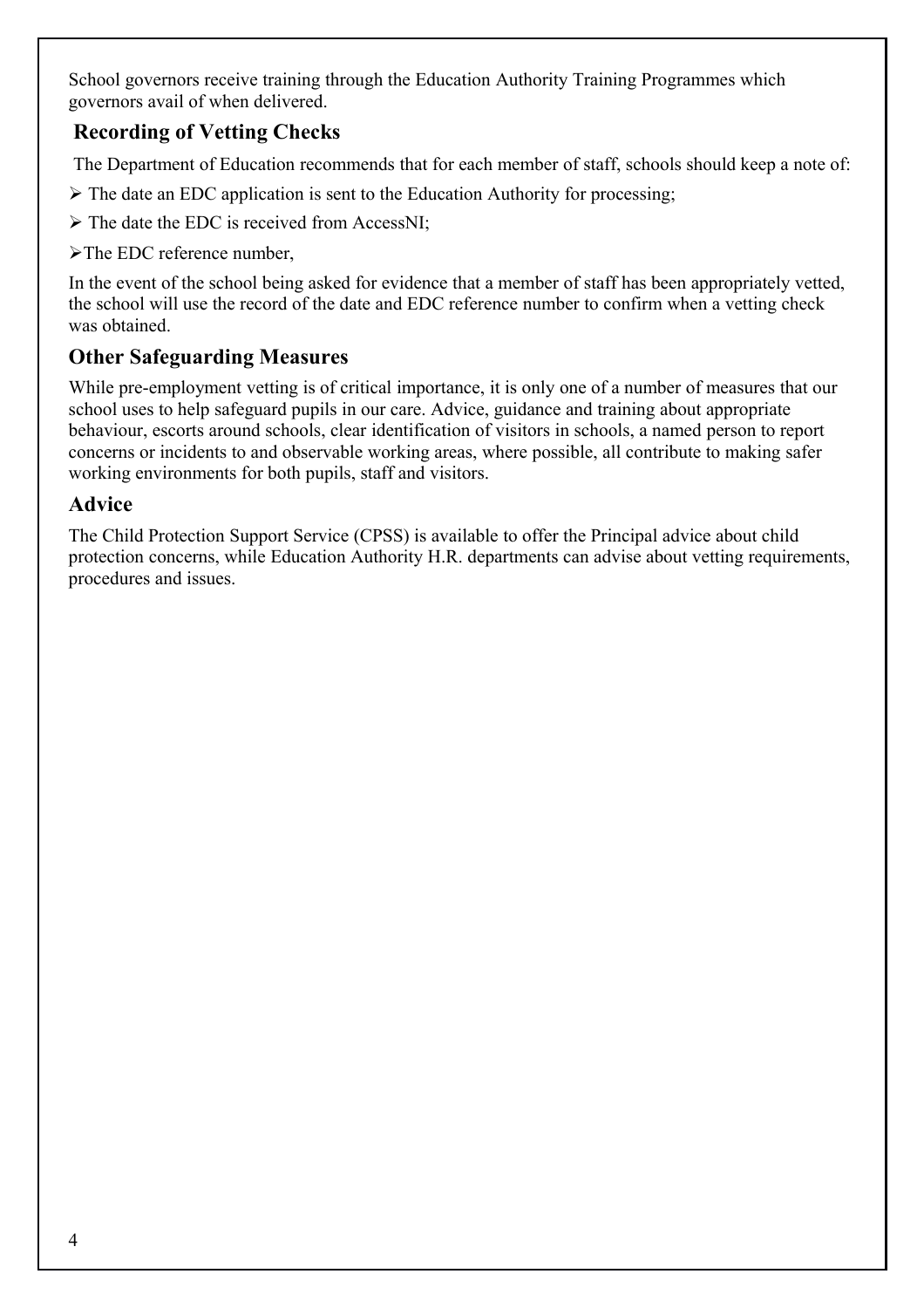School governors receive training through the Education Authority Training Programmes which governors avail of when delivered.

# **Recording of Vetting Checks**

The Department of Education recommends that for each member of staff, schools should keep a note of:

- $\triangleright$  The date an EDC application is sent to the Education Authority for processing;
- $\triangleright$  The date the EDC is received from AccessNI;
- The EDC reference number,

In the event of the school being asked for evidence that a member of staff has been appropriately vetted, the school will use the record of the date and EDC reference number to confirm when a vetting check was obtained.

# **Other Safeguarding Measures**

While pre-employment vetting is of critical importance, it is only one of a number of measures that our school uses to help safeguard pupils in our care. Advice, guidance and training about appropriate behaviour, escorts around schools, clear identification of visitors in schools, a named person to report concerns or incidents to and observable working areas, where possible, all contribute to making safer working environments for both pupils, staff and visitors.

#### **Advice**

The Child Protection Support Service (CPSS) is available to offer the Principal advice about child protection concerns, while Education Authority H.R. departments can advise about vetting requirements, procedures and issues.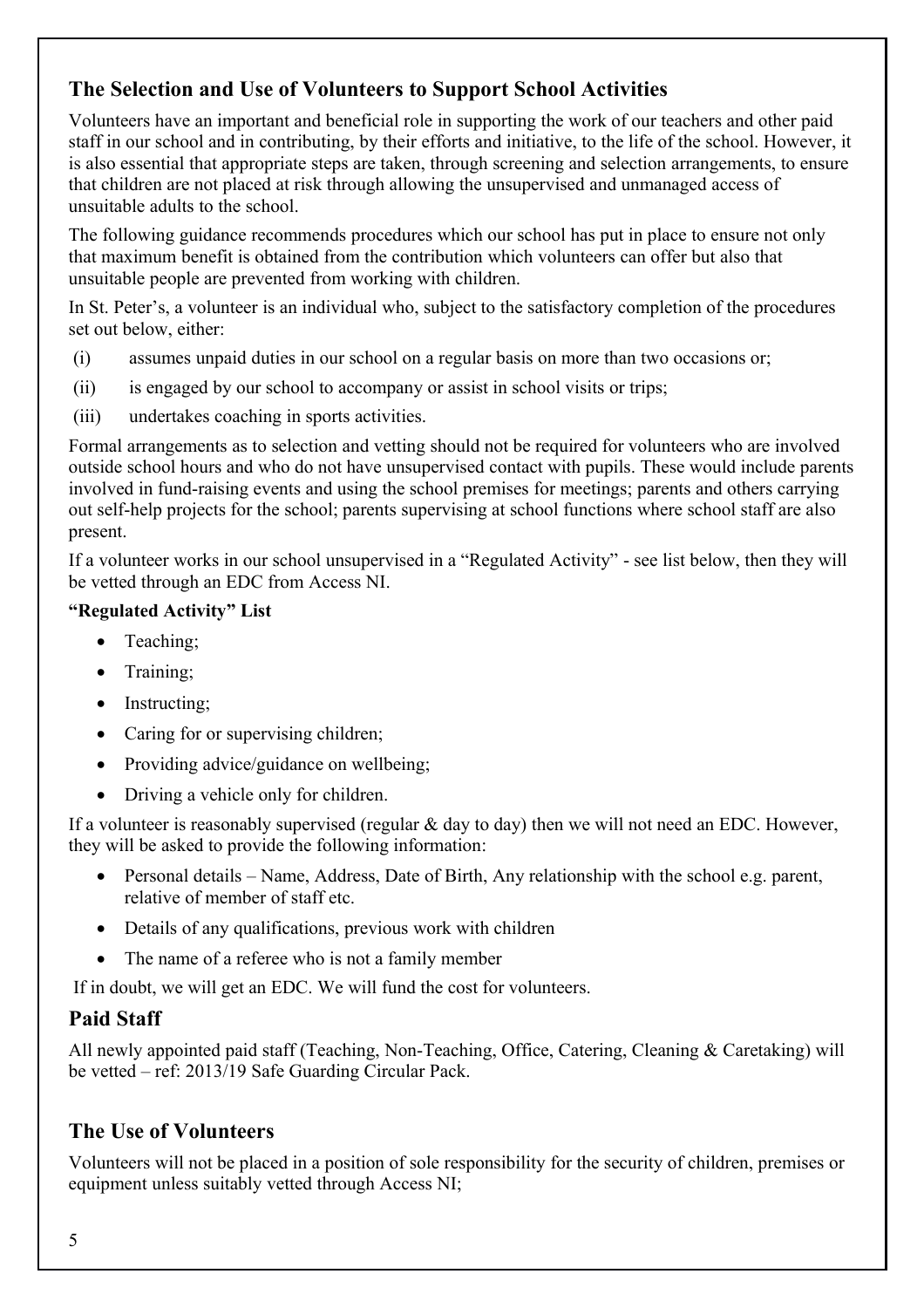# **The Selection and Use of Volunteers to Support School Activities**

Volunteers have an important and beneficial role in supporting the work of our teachers and other paid staff in our school and in contributing, by their efforts and initiative, to the life of the school. However, it is also essential that appropriate steps are taken, through screening and selection arrangements, to ensure that children are not placed at risk through allowing the unsupervised and unmanaged access of unsuitable adults to the school.

The following guidance recommends procedures which our school has put in place to ensure not only that maximum benefit is obtained from the contribution which volunteers can offer but also that unsuitable people are prevented from working with children.

In St. Peter's, a volunteer is an individual who, subject to the satisfactory completion of the procedures set out below, either:

- (i) assumes unpaid duties in our school on a regular basis on more than two occasions or;
- (ii) is engaged by our school to accompany or assist in school visits or trips;
- (iii) undertakes coaching in sports activities.

Formal arrangements as to selection and vetting should not be required for volunteers who are involved outside school hours and who do not have unsupervised contact with pupils. These would include parents involved in fund-raising events and using the school premises for meetings; parents and others carrying out self-help projects for the school; parents supervising at school functions where school staff are also present.

If a volunteer works in our school unsupervised in a "Regulated Activity" - see list below, then they will be vetted through an EDC from Access NI.

#### **"Regulated Activity" List**

- Teaching;
- Training:
- Instructing;
- Caring for or supervising children;
- Providing advice/guidance on wellbeing;
- Driving a vehicle only for children.

If a volunteer is reasonably supervised (regular & day to day) then we will not need an EDC. However, they will be asked to provide the following information:

- Personal details Name, Address, Date of Birth, Any relationship with the school e.g. parent, relative of member of staff etc.
- Details of any qualifications, previous work with children
- The name of a referee who is not a family member

If in doubt, we will get an EDC. We will fund the cost for volunteers.

#### **Paid Staff**

All newly appointed paid staff (Teaching, Non-Teaching, Office, Catering, Cleaning & Caretaking) will be vetted – ref: 2013/19 Safe Guarding Circular Pack.

# **The Use of Volunteers**

Volunteers will not be placed in a position of sole responsibility for the security of children, premises or equipment unless suitably vetted through Access NI;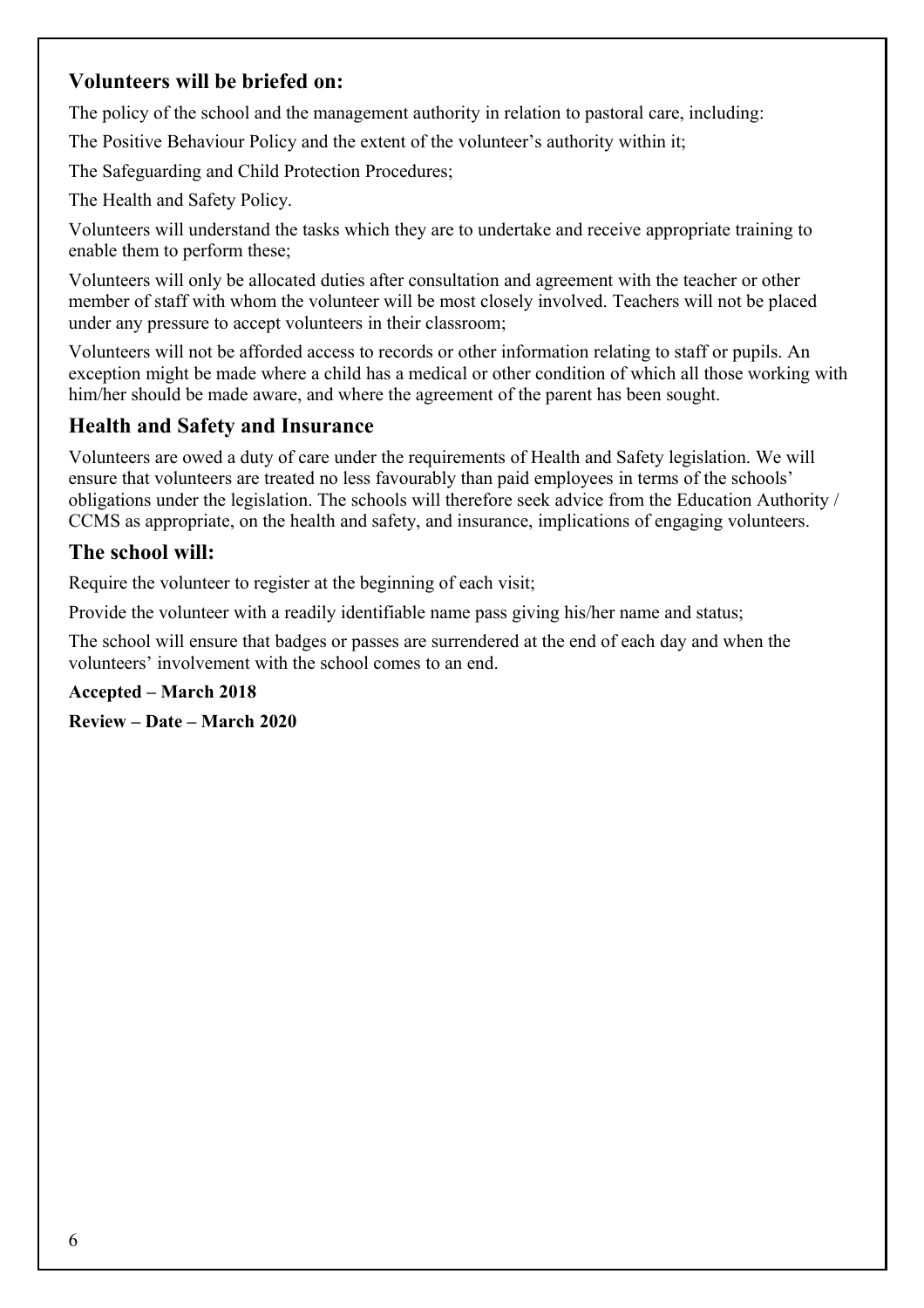# **Volunteers will be briefed on:**

The policy of the school and the management authority in relation to pastoral care, including:

The Positive Behaviour Policy and the extent of the volunteer's authority within it;

The Safeguarding and Child Protection Procedures;

The Health and Safety Policy.

Volunteers will understand the tasks which they are to undertake and receive appropriate training to enable them to perform these;

Volunteers will only be allocated duties after consultation and agreement with the teacher or other member of staff with whom the volunteer will be most closely involved. Teachers will not be placed under any pressure to accept volunteers in their classroom;

Volunteers will not be afforded access to records or other information relating to staff or pupils. An exception might be made where a child has a medical or other condition of which all those working with him/her should be made aware, and where the agreement of the parent has been sought.

# **Health and Safety and Insurance**

Volunteers are owed a duty of care under the requirements of Health and Safety legislation. We will ensure that volunteers are treated no less favourably than paid employees in terms of the schools' obligations under the legislation. The schools will therefore seek advice from the Education Authority / CCMS as appropriate, on the health and safety, and insurance, implications of engaging volunteers.

# **The school will:**

Require the volunteer to register at the beginning of each visit;

Provide the volunteer with a readily identifiable name pass giving his/her name and status;

The school will ensure that badges or passes are surrendered at the end of each day and when the volunteers' involvement with the school comes to an end.

#### **Accepted – March 2018**

**Review – Date – March 2020**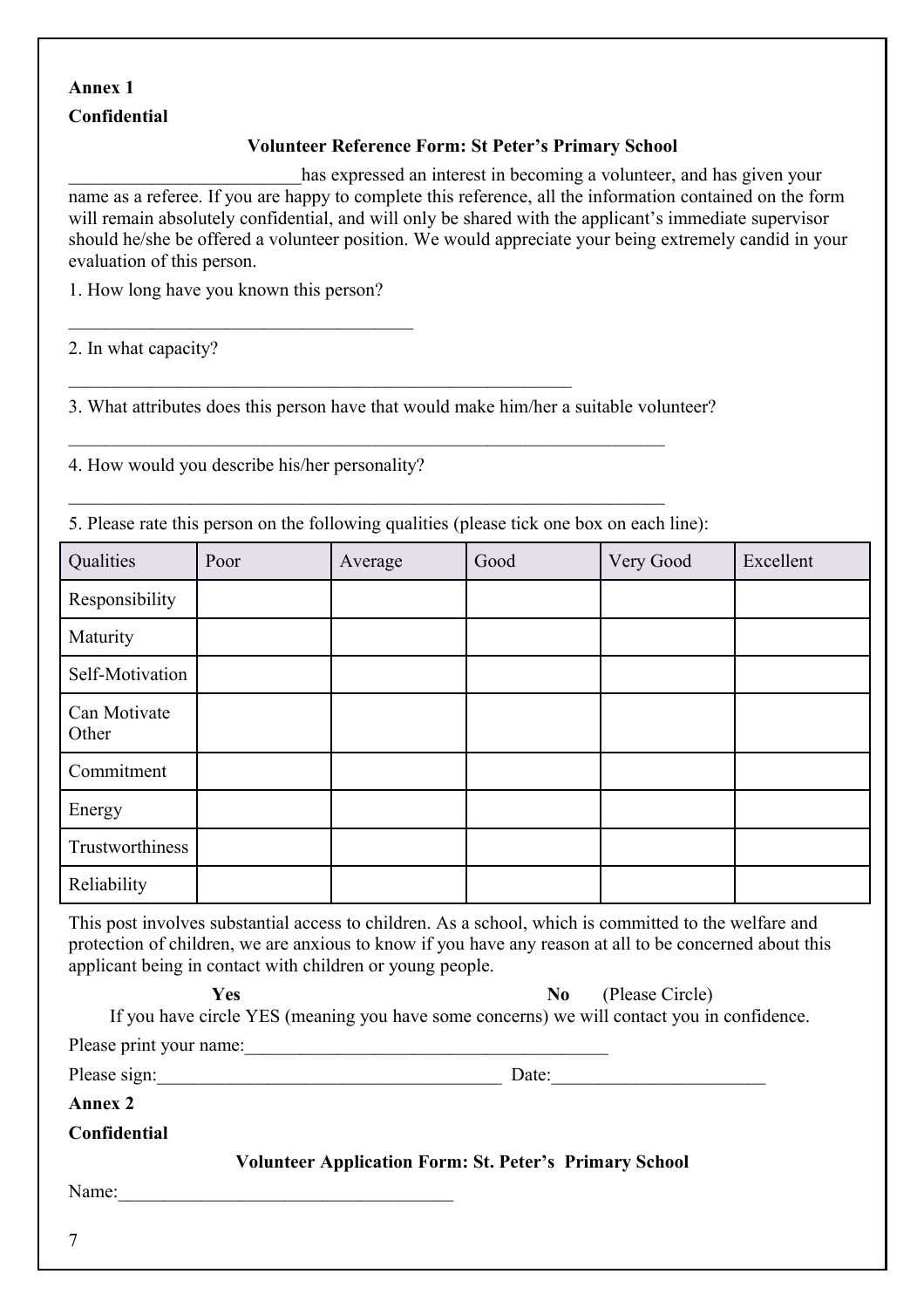#### **Annex 1**

#### **Confidential**

#### **Volunteer Reference Form: St Peter's Primary School**

has expressed an interest in becoming a volunteer, and has given your name as a referee. If you are happy to complete this reference, all the information contained on the form will remain absolutely confidential, and will only be shared with the applicant's immediate supervisor should he/she be offered a volunteer position. We would appreciate your being extremely candid in your evaluation of this person.

1. How long have you known this person?

\_\_\_\_\_\_\_\_\_\_\_\_\_\_\_\_\_\_\_\_\_\_\_\_\_\_\_\_\_\_\_\_\_\_\_\_\_

2. In what capacity?

3. What attributes does this person have that would make him/her a suitable volunteer?

4. How would you describe his/her personality?

5. Please rate this person on the following qualities (please tick one box on each line):

| Qualities             | Poor | Average | Good | Very Good | Excellent |
|-----------------------|------|---------|------|-----------|-----------|
| Responsibility        |      |         |      |           |           |
| Maturity              |      |         |      |           |           |
| Self-Motivation       |      |         |      |           |           |
| Can Motivate<br>Other |      |         |      |           |           |
| Commitment            |      |         |      |           |           |
| Energy                |      |         |      |           |           |
| Trustworthiness       |      |         |      |           |           |
| Reliability           |      |         |      |           |           |

This post involves substantial access to children. As a school, which is committed to the welfare and protection of children, we are anxious to know if you have any reason at all to be concerned about this applicant being in contact with children or young people.

| Yes                     | (Please Circle)<br>N <sub>0</sub>                                                          |
|-------------------------|--------------------------------------------------------------------------------------------|
|                         | If you have circle YES (meaning you have some concerns) we will contact you in confidence. |
| Please print your name: |                                                                                            |
| Please sign:            | Date:                                                                                      |
| <b>Annex 2</b>          |                                                                                            |
| <b>Confidential</b>     |                                                                                            |
|                         | <b>Volunteer Application Form: St. Peter's Primary School</b>                              |
| Name:                   |                                                                                            |
|                         |                                                                                            |
| $\overline{ }$          |                                                                                            |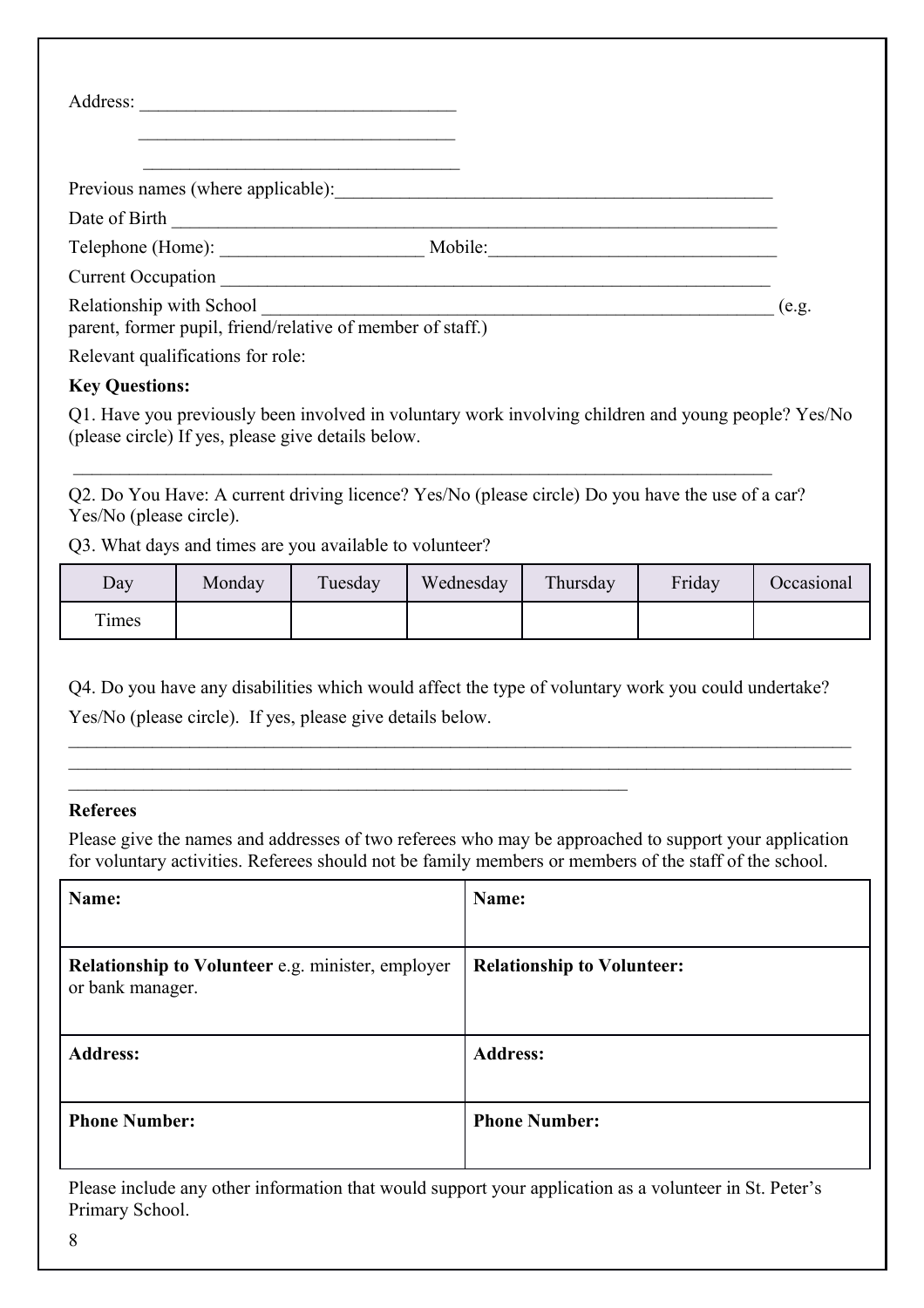| Address:<br><u> 2000 - 2000 - 2000 - 2000 - 2000 - 2000 - 2000 - 2000 - 2000 - 2000 - 2000 - 2000 - 2000 - 2000 - 2000 - 200</u>                                                                                                                                                                  |                                                                      |       |
|---------------------------------------------------------------------------------------------------------------------------------------------------------------------------------------------------------------------------------------------------------------------------------------------------|----------------------------------------------------------------------|-------|
| Previous names (where applicable): Notified a measurement of the set of the set of the set of the set of the set of the set of the set of the set of the set of the set of the set of the set of the set of the set of the set                                                                    |                                                                      |       |
| Date of Birth Theorem and The Birth Theorem and The Birth Theorem and The Birth Theorem and Theorem and Theorem and Theorem and Theorem and Theorem and Theorem and Theorem and Theorem and Theorem and Theorem and Theorem an                                                                    |                                                                      |       |
|                                                                                                                                                                                                                                                                                                   | Mobile:<br><u> 1980 - Johann Barnett, fransk politiker (d. 1980)</u> |       |
| Current Occupation                                                                                                                                                                                                                                                                                |                                                                      |       |
| Relationship with School <b>Exercise 2018</b> and 2018 and 2018 and 2018 and 2018 and 2018 and 2018 and 2018 and 2018 and 2018 and 2018 and 2018 and 2018 and 2018 and 2018 and 2018 and 2018 and 2018 and 2018 and 2018 and 2018 a<br>parent, former pupil, friend/relative of member of staff.) |                                                                      | (e.g. |
| Relevant qualifications for role:                                                                                                                                                                                                                                                                 |                                                                      |       |

#### **Key Questions:**

Q1. Have you previously been involved in voluntary work involving children and young people? Yes/No (please circle) If yes, please give details below.

Q2. Do You Have: A current driving licence? Yes/No (please circle) Do you have the use of a car? Yes/No (please circle).

Q3. What days and times are you available to volunteer?

| Day   | Monday | Tuesday | Wednesday | Thursday | Friday | Occasional |
|-------|--------|---------|-----------|----------|--------|------------|
| Times |        |         |           |          |        |            |

Q4. Do you have any disabilities which would affect the type of voluntary work you could undertake? Yes/No (please circle). If yes, please give details below.

#### **Referees**

Please give the names and addresses of two referees who may be approached to support your application for voluntary activities. Referees should not be family members or members of the staff of the school.

| Name:                                                                 | Name:                             |
|-----------------------------------------------------------------------|-----------------------------------|
| Relationship to Volunteer e.g. minister, employer<br>or bank manager. | <b>Relationship to Volunteer:</b> |
| <b>Address:</b>                                                       | <b>Address:</b>                   |
| <b>Phone Number:</b>                                                  | <b>Phone Number:</b>              |

Please include any other information that would support your application as a volunteer in St. Peter's Primary School.